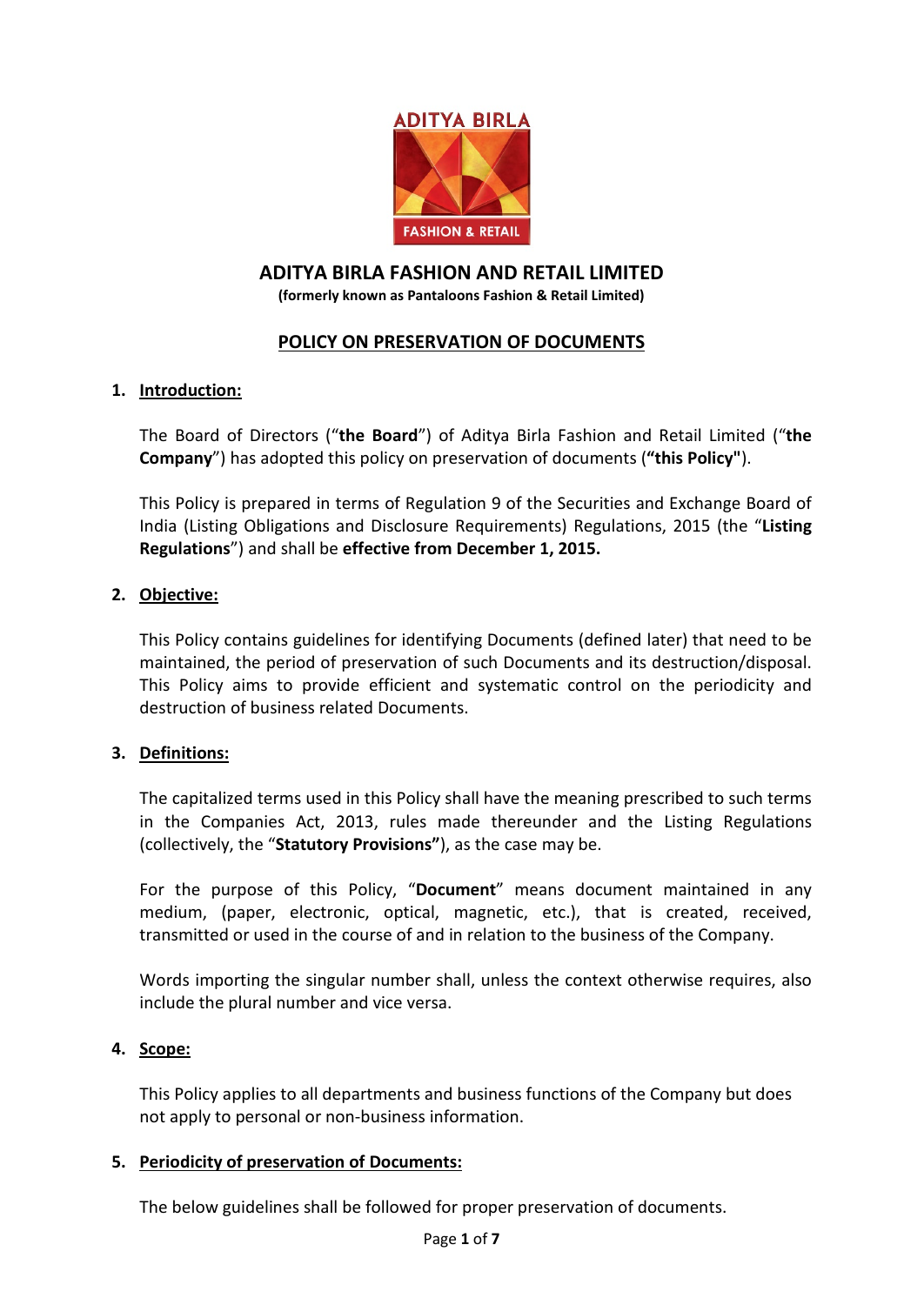

# **ADITYA BIRLA FASHION AND RETAIL LIMITED**

**(formerly known as Pantaloons Fashion & Retail Limited)**

## **POLICY ON PRESERVATION OF DOCUMENTS**

#### **1. Introduction:**

The Board of Directors ("**the Board**") of Aditya Birla Fashion and Retail Limited ("**the Company**") has adopted this policy on preservation of documents (**"this Policy"**).

This Policy is prepared in terms of Regulation 9 of the Securities and Exchange Board of India (Listing Obligations and Disclosure Requirements) Regulations, 2015 (the "**Listing Regulations**") and shall be **effective from December 1, 2015.**

#### **2. Objective:**

This Policy contains guidelines for identifying Documents (defined later) that need to be maintained, the period of preservation of such Documents and its destruction/disposal. This Policy aims to provide efficient and systematic control on the periodicity and destruction of business related Documents.

#### **3. Definitions:**

The capitalized terms used in this Policy shall have the meaning prescribed to such terms in the Companies Act, 2013, rules made thereunder and the Listing Regulations (collectively, the "**Statutory Provisions"**), as the case may be.

For the purpose of this Policy, "**Document**" means document maintained in any medium, (paper, electronic, optical, magnetic, etc.), that is created, received, transmitted or used in the course of and in relation to the business of the Company.

Words importing the singular number shall, unless the context otherwise requires, also include the plural number and vice versa.

#### **4. Scope:**

This Policy applies to all departments and business functions of the Company but does not apply to personal or non-business information.

#### **5. Periodicity of preservation of Documents:**

The below guidelines shall be followed for proper preservation of documents.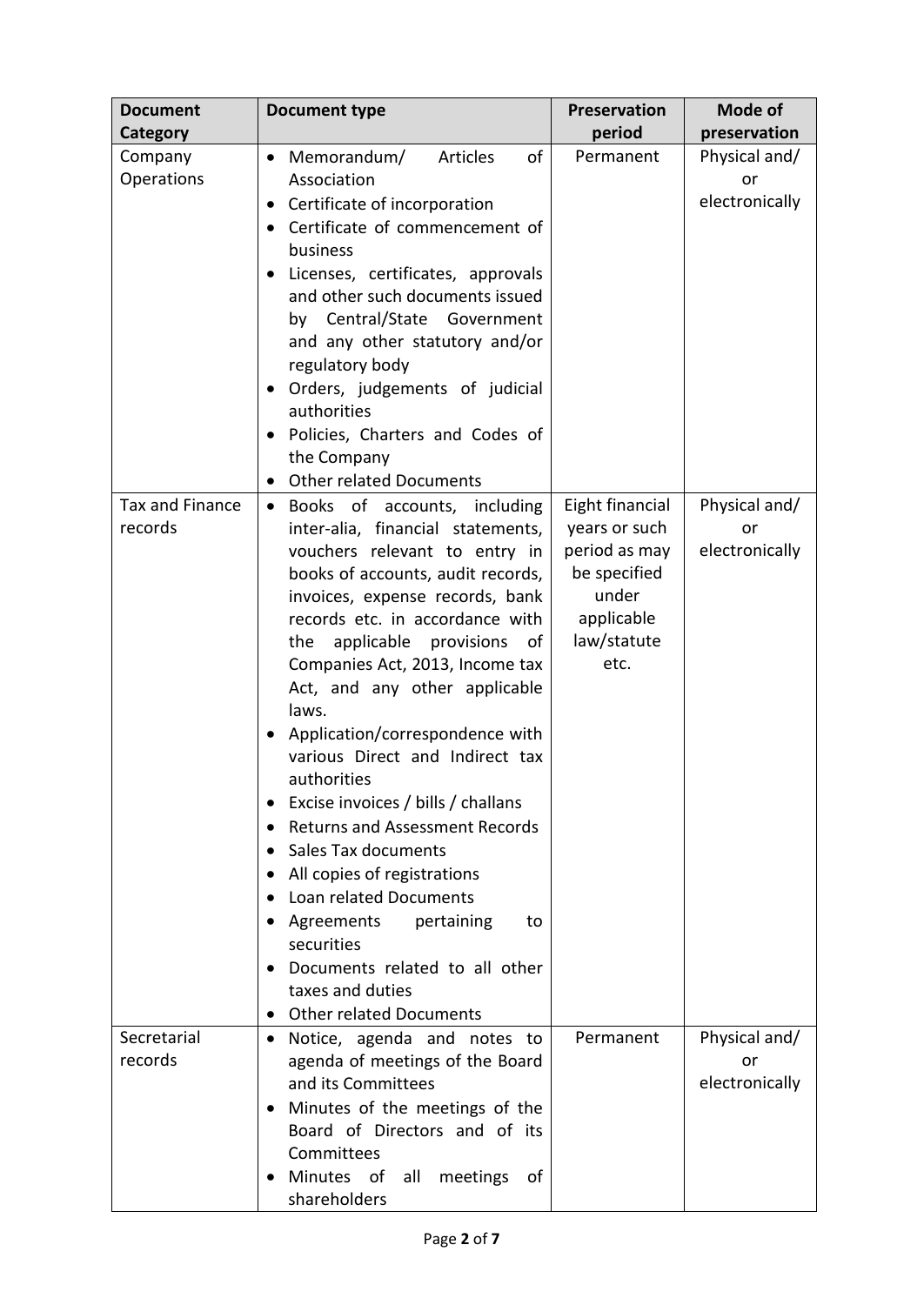| <b>Document</b>        | <b>Document type</b>                                               | Preservation    | Mode of        |
|------------------------|--------------------------------------------------------------------|-----------------|----------------|
| <b>Category</b>        |                                                                    | period          | preservation   |
| Company                | Articles<br>of<br>Memorandum/<br>$\bullet$                         | Permanent       | Physical and/  |
| Operations             | Association                                                        |                 | or             |
|                        | Certificate of incorporation<br>$\bullet$                          |                 | electronically |
|                        | Certificate of commencement of<br>$\bullet$                        |                 |                |
|                        | business                                                           |                 |                |
|                        | Licenses, certificates, approvals                                  |                 |                |
|                        | and other such documents issued                                    |                 |                |
|                        | by Central/State Government                                        |                 |                |
|                        | and any other statutory and/or                                     |                 |                |
|                        | regulatory body                                                    |                 |                |
|                        | Orders, judgements of judicial<br>authorities                      |                 |                |
|                        | Policies, Charters and Codes of                                    |                 |                |
|                        | the Company                                                        |                 |                |
|                        | <b>Other related Documents</b><br>$\bullet$                        |                 |                |
| <b>Tax and Finance</b> | Books of accounts, including<br>$\bullet$                          | Eight financial | Physical and/  |
| records                | inter-alia, financial statements,                                  | years or such   | or             |
|                        | vouchers relevant to entry in                                      | period as may   | electronically |
|                        | books of accounts, audit records,                                  | be specified    |                |
|                        | invoices, expense records, bank                                    | under           |                |
|                        | records etc. in accordance with                                    | applicable      |                |
|                        | applicable provisions<br>the<br>of                                 | law/statute     |                |
|                        | Companies Act, 2013, Income tax                                    | etc.            |                |
|                        | Act, and any other applicable                                      |                 |                |
|                        | laws.                                                              |                 |                |
|                        | Application/correspondence with<br>various Direct and Indirect tax |                 |                |
|                        | authorities                                                        |                 |                |
|                        | Excise invoices / bills / challans                                 |                 |                |
|                        | <b>Returns and Assessment Records</b>                              |                 |                |
|                        | Sales Tax documents<br>$\bullet$                                   |                 |                |
|                        | All copies of registrations                                        |                 |                |
|                        | Loan related Documents                                             |                 |                |
|                        | Agreements<br>pertaining<br>to                                     |                 |                |
|                        | securities                                                         |                 |                |
|                        | Documents related to all other                                     |                 |                |
|                        | taxes and duties                                                   |                 |                |
|                        | <b>Other related Documents</b>                                     |                 |                |
| Secretarial            | Notice, agenda and notes to<br>$\bullet$                           | Permanent       | Physical and/  |
| records                | agenda of meetings of the Board                                    |                 | or             |
|                        | and its Committees                                                 |                 | electronically |
|                        | Minutes of the meetings of the<br>Board of Directors and of its    |                 |                |
|                        | Committees                                                         |                 |                |
|                        | Minutes of<br>all<br>meetings<br>0f                                |                 |                |
|                        | shareholders                                                       |                 |                |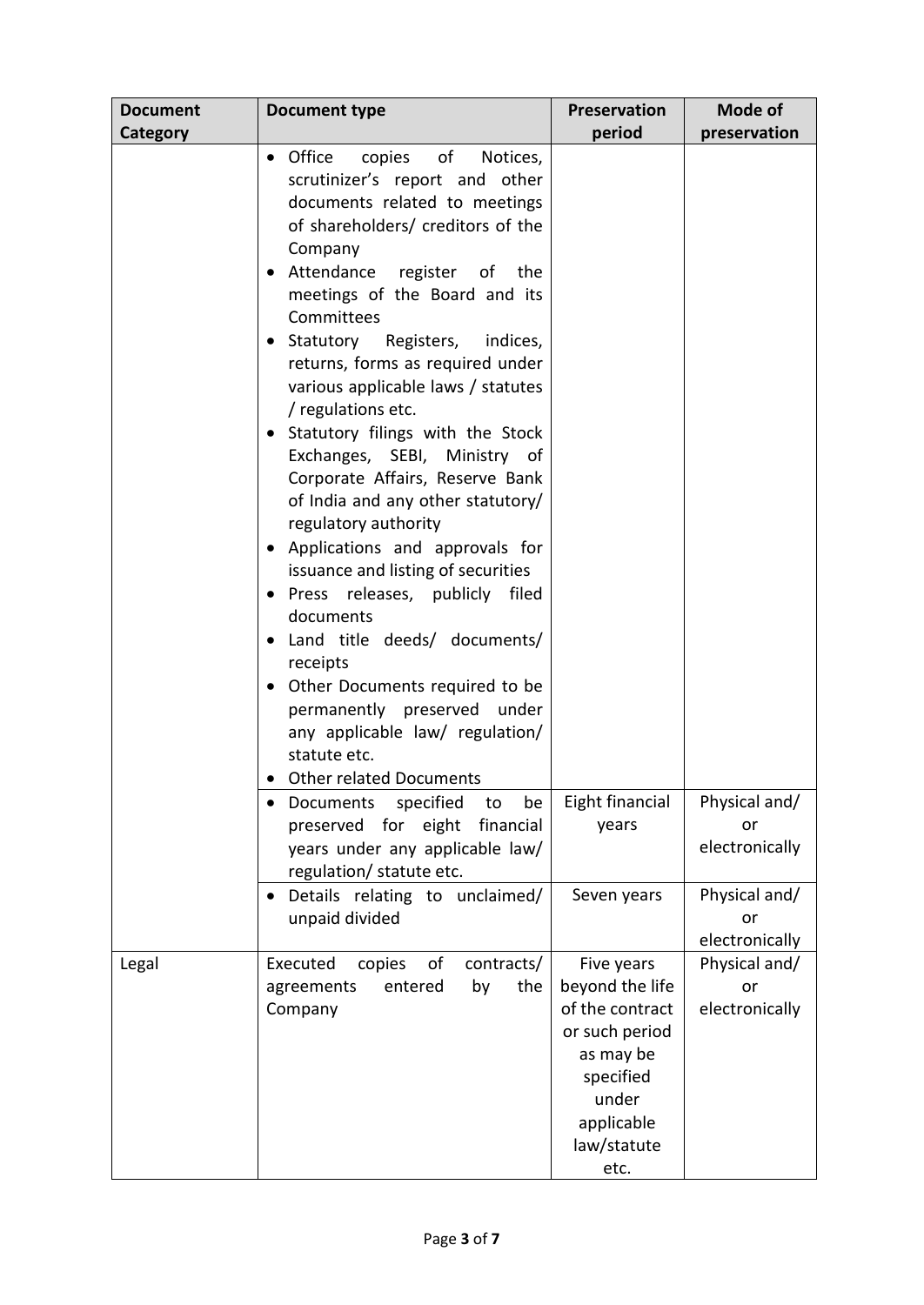| <b>Document</b> | <b>Document type</b>                                                                                                                                                                                                                                                                                                                                                                                                                                                                                                                                                                                                                                                                                                                                                                                                                                                                                                                  | Preservation                                                                                                                               | Mode of                               |
|-----------------|---------------------------------------------------------------------------------------------------------------------------------------------------------------------------------------------------------------------------------------------------------------------------------------------------------------------------------------------------------------------------------------------------------------------------------------------------------------------------------------------------------------------------------------------------------------------------------------------------------------------------------------------------------------------------------------------------------------------------------------------------------------------------------------------------------------------------------------------------------------------------------------------------------------------------------------|--------------------------------------------------------------------------------------------------------------------------------------------|---------------------------------------|
| Category        |                                                                                                                                                                                                                                                                                                                                                                                                                                                                                                                                                                                                                                                                                                                                                                                                                                                                                                                                       | period                                                                                                                                     | preservation                          |
|                 | • Office<br>copies of<br>Notices,<br>scrutinizer's report and other<br>documents related to meetings<br>of shareholders/ creditors of the<br>Company<br>Attendance register of the<br>meetings of the Board and its<br>Committees<br>Statutory<br>Registers, indices,<br>returns, forms as required under<br>various applicable laws / statutes<br>/ regulations etc.<br>Statutory filings with the Stock<br>$\bullet$<br>Exchanges, SEBI, Ministry of<br>Corporate Affairs, Reserve Bank<br>of India and any other statutory/<br>regulatory authority<br>Applications and approvals for<br>issuance and listing of securities<br>Press releases, publicly filed<br>documents<br>Land title deeds/ documents/<br>receipts<br>Other Documents required to be<br>$\bullet$<br>permanently preserved<br>under<br>any applicable law/ regulation/<br>statute etc.<br><b>Other related Documents</b><br>specified<br>be<br>Documents<br>to | Eight financial                                                                                                                            | Physical and/                         |
|                 | preserved for eight<br>financial<br>years under any applicable law/<br>regulation/ statute etc.                                                                                                                                                                                                                                                                                                                                                                                                                                                                                                                                                                                                                                                                                                                                                                                                                                       | years                                                                                                                                      | or<br>electronically                  |
|                 | Details relating to unclaimed/<br>unpaid divided                                                                                                                                                                                                                                                                                                                                                                                                                                                                                                                                                                                                                                                                                                                                                                                                                                                                                      | Seven years                                                                                                                                | Physical and/<br>or<br>electronically |
| Legal           | of<br>Executed<br>copies<br>contracts/<br>the<br>entered<br>by<br>agreements<br>Company                                                                                                                                                                                                                                                                                                                                                                                                                                                                                                                                                                                                                                                                                                                                                                                                                                               | Five years<br>beyond the life<br>of the contract<br>or such period<br>as may be<br>specified<br>under<br>applicable<br>law/statute<br>etc. | Physical and/<br>or<br>electronically |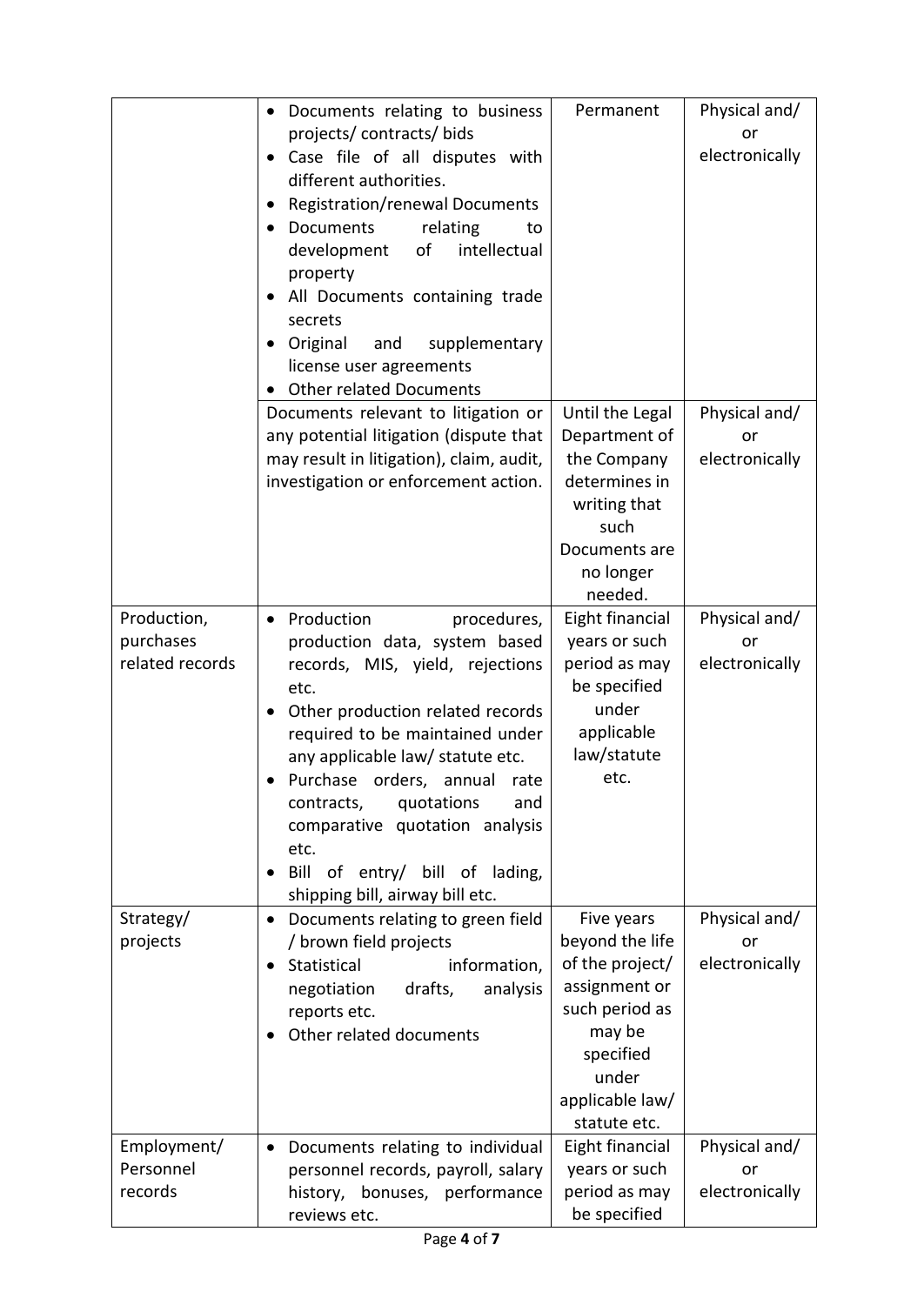|                 | Documents relating to business<br>$\bullet$                | Permanent                 | Physical and/  |
|-----------------|------------------------------------------------------------|---------------------------|----------------|
|                 | projects/contracts/bids                                    |                           | or             |
|                 | Case file of all disputes with<br>$\bullet$                |                           | electronically |
|                 | different authorities.                                     |                           |                |
|                 | Registration/renewal Documents                             |                           |                |
|                 | Documents<br>relating<br>to<br>$\bullet$                   |                           |                |
|                 | intellectual<br>development<br>of                          |                           |                |
|                 | property                                                   |                           |                |
|                 | All Documents containing trade<br>secrets                  |                           |                |
|                 | Original<br>supplementary<br>and                           |                           |                |
|                 | license user agreements                                    |                           |                |
|                 | <b>Other related Documents</b>                             |                           |                |
|                 | Documents relevant to litigation or                        | Until the Legal           | Physical and/  |
|                 | any potential litigation (dispute that                     | Department of             | or             |
|                 | may result in litigation), claim, audit,                   | the Company               | electronically |
|                 | investigation or enforcement action.                       | determines in             |                |
|                 |                                                            | writing that              |                |
|                 |                                                            | such                      |                |
|                 |                                                            | Documents are             |                |
|                 |                                                            | no longer                 |                |
|                 |                                                            | needed.                   |                |
| Production,     | Production<br>procedures,<br>$\bullet$                     | Eight financial           | Physical and/  |
| purchases       | production data, system based                              | years or such             | or             |
| related records | records, MIS, yield, rejections                            | period as may             | electronically |
|                 | etc.                                                       | be specified              |                |
|                 | Other production related records                           | under                     |                |
|                 | required to be maintained under                            | applicable<br>law/statute |                |
|                 | any applicable law/ statute etc.                           | etc.                      |                |
|                 | Purchase orders, annual rate<br>and                        |                           |                |
|                 | contracts,<br>quotations<br>comparative quotation analysis |                           |                |
|                 | etc.                                                       |                           |                |
|                 | Bill<br>of entry/ bill of lading,                          |                           |                |
|                 | shipping bill, airway bill etc.                            |                           |                |
| Strategy/       | Documents relating to green field<br>$\bullet$             | Five years                | Physical and/  |
| projects        | / brown field projects                                     | beyond the life           | or             |
|                 | Statistical<br>information,<br>$\bullet$                   | of the project/           | electronically |
|                 | drafts,<br>analysis<br>negotiation                         | assignment or             |                |
|                 | reports etc.                                               | such period as            |                |
|                 | Other related documents                                    | may be                    |                |
|                 |                                                            | specified                 |                |
|                 |                                                            | under                     |                |
|                 |                                                            | applicable law/           |                |
|                 |                                                            | statute etc.              |                |
| Employment/     | Documents relating to individual<br>$\bullet$              | Eight financial           | Physical and/  |
| Personnel       | personnel records, payroll, salary                         | years or such             | or             |
| records         | history, bonuses, performance                              | period as may             | electronically |
|                 | reviews etc.                                               | be specified              |                |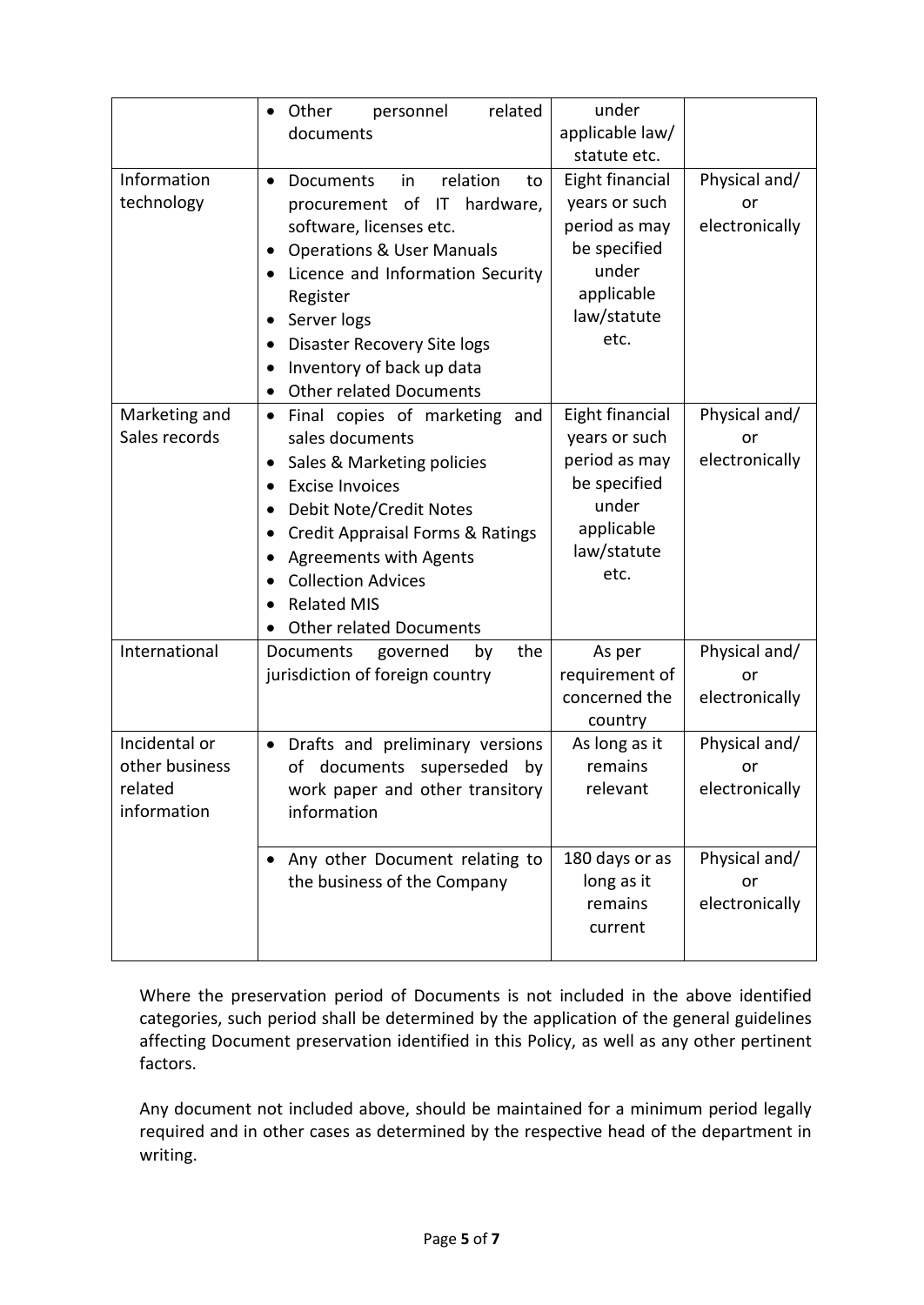|                                                           | related<br>Other<br>personnel<br>$\bullet$<br>documents                                                                                                                                                                                                                                                                                                                                  | under<br>applicable law/<br>statute etc.                                                                        |                                       |
|-----------------------------------------------------------|------------------------------------------------------------------------------------------------------------------------------------------------------------------------------------------------------------------------------------------------------------------------------------------------------------------------------------------------------------------------------------------|-----------------------------------------------------------------------------------------------------------------|---------------------------------------|
| Information<br>technology                                 | relation<br><b>Documents</b><br>in<br>$\bullet$<br>to<br>procurement of<br>IT hardware,<br>software, licenses etc.<br><b>Operations &amp; User Manuals</b><br>٠<br>Licence and Information Security<br>Register<br>Server logs<br>Disaster Recovery Site logs<br>Inventory of back up data                                                                                               | Eight financial<br>years or such<br>period as may<br>be specified<br>under<br>applicable<br>law/statute<br>etc. | Physical and/<br>or<br>electronically |
| Marketing and<br>Sales records                            | <b>Other related Documents</b><br>Final copies of marketing and<br>$\bullet$<br>sales documents<br>Sales & Marketing policies<br>$\bullet$<br><b>Excise Invoices</b><br><b>Debit Note/Credit Notes</b><br>$\bullet$<br><b>Credit Appraisal Forms &amp; Ratings</b><br><b>Agreements with Agents</b><br><b>Collection Advices</b><br><b>Related MIS</b><br><b>Other related Documents</b> | Eight financial<br>years or such<br>period as may<br>be specified<br>under<br>applicable<br>law/statute<br>etc. | Physical and/<br>or<br>electronically |
| International                                             | governed<br>the<br>Documents<br>by<br>jurisdiction of foreign country                                                                                                                                                                                                                                                                                                                    | As per<br>requirement of<br>concerned the<br>country                                                            | Physical and/<br>or<br>electronically |
| Incidental or<br>other business<br>related<br>information | • Drafts and preliminary versions<br>documents<br>superseded<br>οf<br>by<br>work paper and other transitory<br>information                                                                                                                                                                                                                                                               | As long as it<br>remains<br>relevant                                                                            | Physical and/<br>or<br>electronically |
|                                                           | Any other Document relating to<br>the business of the Company                                                                                                                                                                                                                                                                                                                            | 180 days or as<br>long as it<br>remains<br>current                                                              | Physical and/<br>or<br>electronically |

Where the preservation period of Documents is not included in the above identified categories, such period shall be determined by the application of the general guidelines affecting Document preservation identified in this Policy, as well as any other pertinent factors.

Any document not included above, should be maintained for a minimum period legally required and in other cases as determined by the respective head of the department in writing.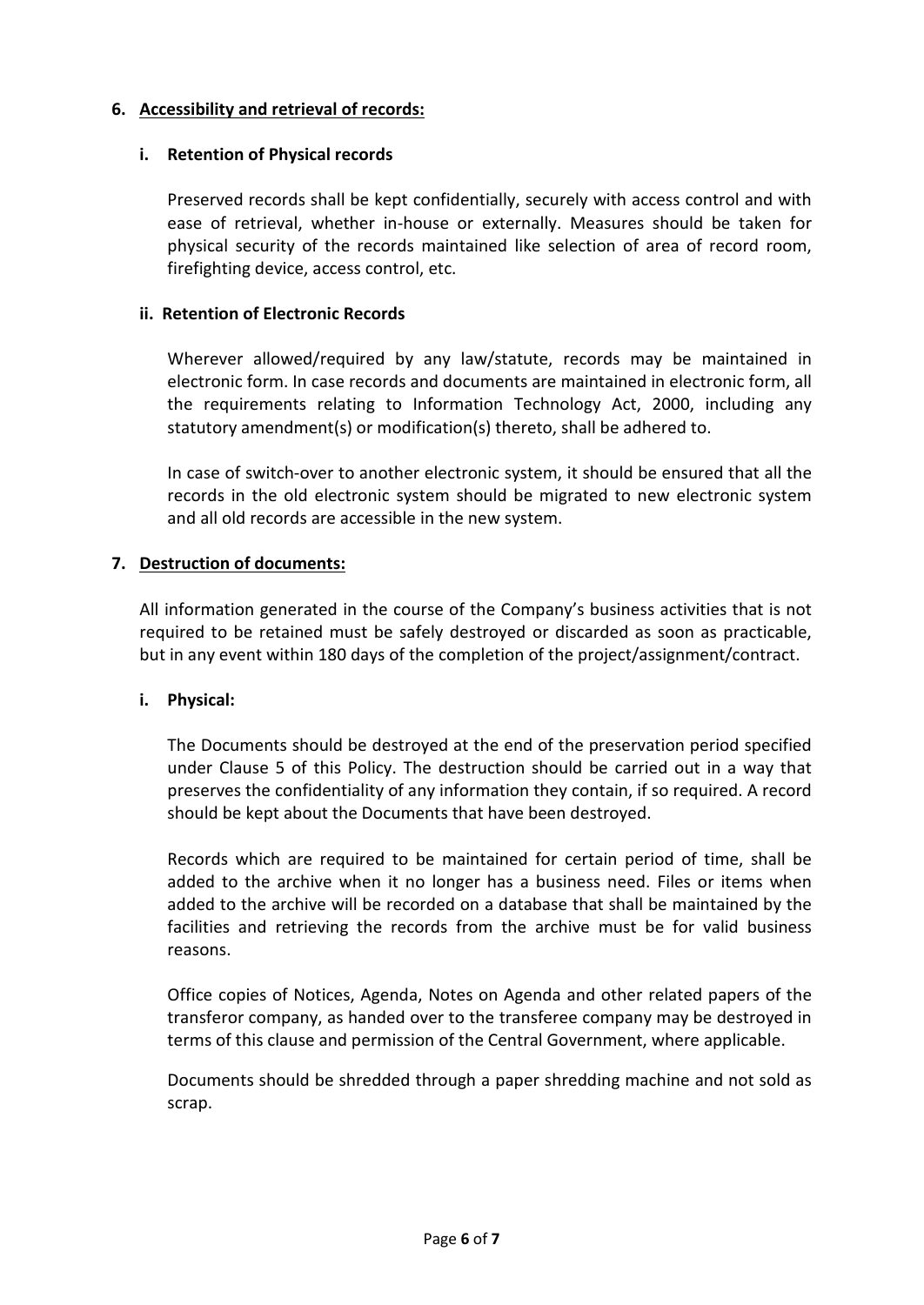## **6. Accessibility and retrieval of records:**

### **i. Retention of Physical records**

Preserved records shall be kept confidentially, securely with access control and with ease of retrieval, whether in-house or externally. Measures should be taken for physical security of the records maintained like selection of area of record room, firefighting device, access control, etc.

### **ii. Retention of Electronic Records**

Wherever allowed/required by any law/statute, records may be maintained in electronic form. In case records and documents are maintained in electronic form, all the requirements relating to Information Technology Act, 2000, including any statutory amendment(s) or modification(s) thereto, shall be adhered to.

In case of switch-over to another electronic system, it should be ensured that all the records in the old electronic system should be migrated to new electronic system and all old records are accessible in the new system.

## **7. Destruction of documents:**

All information generated in the course of the Company's business activities that is not required to be retained must be safely destroyed or discarded as soon as practicable, but in any event within 180 days of the completion of the project/assignment/contract.

#### **i. Physical:**

The Documents should be destroyed at the end of the preservation period specified under Clause 5 of this Policy. The destruction should be carried out in a way that preserves the confidentiality of any information they contain, if so required. A record should be kept about the Documents that have been destroyed.

Records which are required to be maintained for certain period of time, shall be added to the archive when it no longer has a business need. Files or items when added to the archive will be recorded on a database that shall be maintained by the facilities and retrieving the records from the archive must be for valid business reasons.

Office copies of Notices, Agenda, Notes on Agenda and other related papers of the transferor company, as handed over to the transferee company may be destroyed in terms of this clause and permission of the Central Government, where applicable.

Documents should be shredded through a paper shredding machine and not sold as scrap.